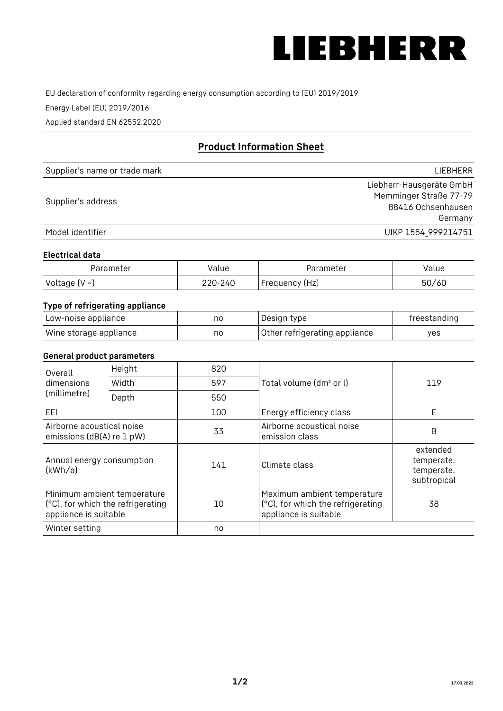

EU declaration of conformity regarding energy consumption according to (EU) 2019/2019

Energy Label (EU) 2019/2016

Applied standard EN 62552:2020

# **Product Information Sheet**

| Supplier's name or trade mark | <b>LIFBHFRR</b>          |
|-------------------------------|--------------------------|
| Supplier's address            | Liebherr-Hausgeräte GmbH |
|                               | Memminger Straße 77-79   |
|                               | 88416 Ochsenhausen       |
|                               | Germany                  |
| Model identifier              | UIKP 1554 999214751      |

### **Electrical data**

| Parameter          | Value   | Parameter      | √alue |
|--------------------|---------|----------------|-------|
| Voltage $(V \sim)$ | 220-240 | Frequency (Hz) | 50/60 |

# **Type of refrigerating appliance**

| Low-noise appliance    | nc | Design type                   | freestanding |
|------------------------|----|-------------------------------|--------------|
| Wine storage appliance | no | Other refrigerating appliance | ves          |

# **General product parameters**

| Height<br>Overall                                      |                                                                  | 820 |                                                                                           |                                                     |
|--------------------------------------------------------|------------------------------------------------------------------|-----|-------------------------------------------------------------------------------------------|-----------------------------------------------------|
| dimensions<br>(millimetre)                             | Width                                                            | 597 | Total volume (dm <sup>3</sup> or l)                                                       | 119                                                 |
|                                                        | Depth                                                            | 550 |                                                                                           |                                                     |
| EEL                                                    |                                                                  | 100 | Energy efficiency class                                                                   | E                                                   |
| Airborne acoustical noise<br>emissions (dB(A) re 1 pW) |                                                                  | 33  | Airborne acoustical noise<br>emission class                                               | B                                                   |
| Annual energy consumption<br>(kWh/a)                   |                                                                  | 141 | Climate class                                                                             | extended<br>temperate,<br>temperate,<br>subtropical |
| appliance is suitable                                  | Minimum ambient temperature<br>(°C), for which the refrigerating | 10  | Maximum ambient temperature<br>(°C), for which the refrigerating<br>appliance is suitable | 38                                                  |
| Winter setting                                         |                                                                  | no  |                                                                                           |                                                     |